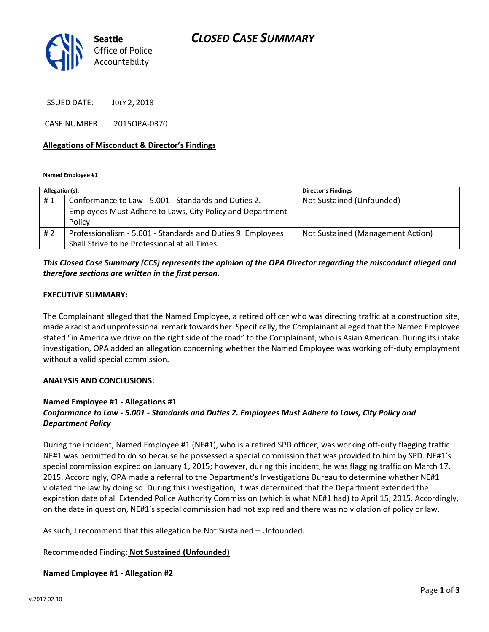

ISSUED DATE: JULY 2, 2018

CASE NUMBER: 2015OPA-0370

#### Allegations of Misconduct & Director's Findings

Named Employee #1

| Allegation(s): |                                                                     | <b>Director's Findings</b>        |
|----------------|---------------------------------------------------------------------|-----------------------------------|
| #1             | Conformance to Law - 5.001 - Standards and Duties 2.                | Not Sustained (Unfounded)         |
|                | Employees Must Adhere to Laws, City Policy and Department<br>Policy |                                   |
| #2             | Professionalism - 5.001 - Standards and Duties 9. Employees         | Not Sustained (Management Action) |
|                | Shall Strive to be Professional at all Times                        |                                   |

## This Closed Case Summary (CCS) represents the opinion of the OPA Director regarding the misconduct alleged and therefore sections are written in the first person.

#### EXECUTIVE SUMMARY:

The Complainant alleged that the Named Employee, a retired officer who was directing traffic at a construction site, made a racist and unprofessional remark towards her. Specifically, the Complainant alleged that the Named Employee stated "in America we drive on the right side of the road" to the Complainant, who is Asian American. During its intake investigation, OPA added an allegation concerning whether the Named Employee was working off-duty employment without a valid special commission.

#### ANALYSIS AND CONCLUSIONS:

## Named Employee #1 - Allegations #1

# Conformance to Law - 5.001 - Standards and Duties 2. Employees Must Adhere to Laws, City Policy and Department Policy

During the incident, Named Employee #1 (NE#1), who is a retired SPD officer, was working off-duty flagging traffic. NE#1 was permitted to do so because he possessed a special commission that was provided to him by SPD. NE#1's special commission expired on January 1, 2015; however, during this incident, he was flagging traffic on March 17, 2015. Accordingly, OPA made a referral to the Department's Investigations Bureau to determine whether NE#1 violated the law by doing so. During this investigation, it was determined that the Department extended the expiration date of all Extended Police Authority Commission (which is what NE#1 had) to April 15, 2015. Accordingly, on the date in question, NE#1's special commission had not expired and there was no violation of policy or law.

As such, I recommend that this allegation be Not Sustained – Unfounded.

## Recommended Finding: Not Sustained (Unfounded)

## Named Employee #1 - Allegation #2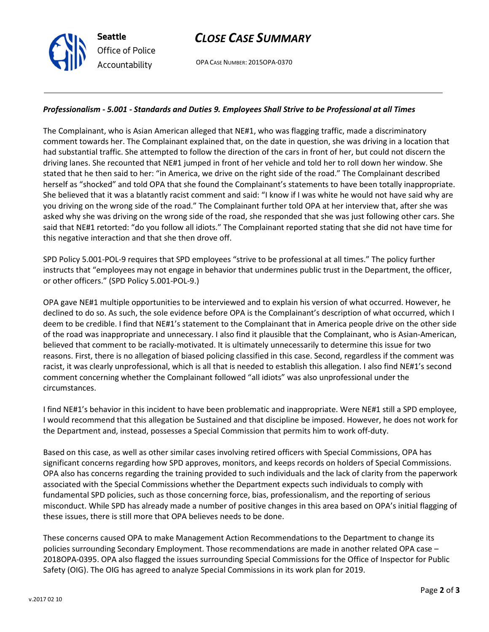# CLOSE CASE SUMMARY

OPA CASE NUMBER: 2015OPA-0370

#### Professionalism - 5.001 - Standards and Duties 9. Employees Shall Strive to be Professional at all Times

The Complainant, who is Asian American alleged that NE#1, who was flagging traffic, made a discriminatory comment towards her. The Complainant explained that, on the date in question, she was driving in a location that had substantial traffic. She attempted to follow the direction of the cars in front of her, but could not discern the driving lanes. She recounted that NE#1 jumped in front of her vehicle and told her to roll down her window. She stated that he then said to her: "in America, we drive on the right side of the road." The Complainant described herself as "shocked" and told OPA that she found the Complainant's statements to have been totally inappropriate. She believed that it was a blatantly racist comment and said: "I know if I was white he would not have said why are you driving on the wrong side of the road." The Complainant further told OPA at her interview that, after she was asked why she was driving on the wrong side of the road, she responded that she was just following other cars. She said that NE#1 retorted: "do you follow all idiots." The Complainant reported stating that she did not have time for this negative interaction and that she then drove off.

SPD Policy 5.001-POL-9 requires that SPD employees "strive to be professional at all times." The policy further instructs that "employees may not engage in behavior that undermines public trust in the Department, the officer, or other officers." (SPD Policy 5.001-POL-9.)

OPA gave NE#1 multiple opportunities to be interviewed and to explain his version of what occurred. However, he declined to do so. As such, the sole evidence before OPA is the Complainant's description of what occurred, which I deem to be credible. I find that NE#1's statement to the Complainant that in America people drive on the other side of the road was inappropriate and unnecessary. I also find it plausible that the Complainant, who is Asian-American, believed that comment to be racially-motivated. It is ultimately unnecessarily to determine this issue for two reasons. First, there is no allegation of biased policing classified in this case. Second, regardless if the comment was racist, it was clearly unprofessional, which is all that is needed to establish this allegation. I also find NE#1's second comment concerning whether the Complainant followed "all idiots" was also unprofessional under the circumstances.

I find NE#1's behavior in this incident to have been problematic and inappropriate. Were NE#1 still a SPD employee, I would recommend that this allegation be Sustained and that discipline be imposed. However, he does not work for the Department and, instead, possesses a Special Commission that permits him to work off-duty.

Based on this case, as well as other similar cases involving retired officers with Special Commissions, OPA has significant concerns regarding how SPD approves, monitors, and keeps records on holders of Special Commissions. OPA also has concerns regarding the training provided to such individuals and the lack of clarity from the paperwork associated with the Special Commissions whether the Department expects such individuals to comply with fundamental SPD policies, such as those concerning force, bias, professionalism, and the reporting of serious misconduct. While SPD has already made a number of positive changes in this area based on OPA's initial flagging of these issues, there is still more that OPA believes needs to be done.

These concerns caused OPA to make Management Action Recommendations to the Department to change its policies surrounding Secondary Employment. Those recommendations are made in another related OPA case – 2018OPA-0395. OPA also flagged the issues surrounding Special Commissions for the Office of Inspector for Public Safety (OIG). The OIG has agreed to analyze Special Commissions in its work plan for 2019.